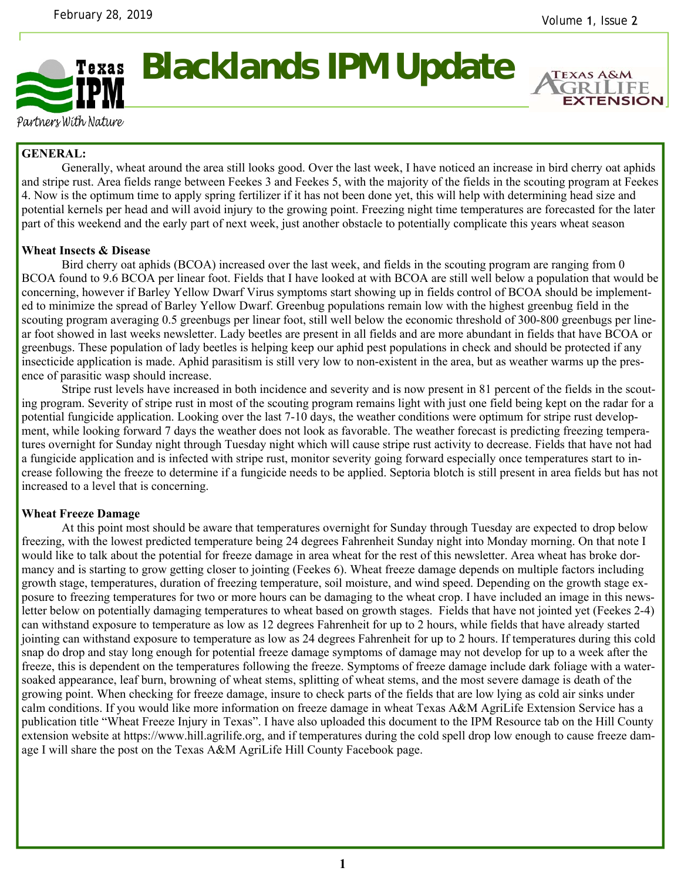

**Blacklands IPM Update** 

**EXTENSION** 

Partners With Nature

# **GENERAL:**

 Generally, wheat around the area still looks good. Over the last week, I have noticed an increase in bird cherry oat aphids and stripe rust. Area fields range between Feekes 3 and Feekes 5, with the majority of the fields in the scouting program at Feekes 4. Now is the optimum time to apply spring fertilizer if it has not been done yet, this will help with determining head size and potential kernels per head and will avoid injury to the growing point. Freezing night time temperatures are forecasted for the later part of this weekend and the early part of next week, just another obstacle to potentially complicate this years wheat season

## **Wheat Insects & Disease**

Bird cherry oat aphids (BCOA) increased over the last week, and fields in the scouting program are ranging from 0 BCOA found to 9.6 BCOA per linear foot. Fields that I have looked at with BCOA are still well below a population that would be concerning, however if Barley Yellow Dwarf Virus symptoms start showing up in fields control of BCOA should be implemented to minimize the spread of Barley Yellow Dwarf. Greenbug populations remain low with the highest greenbug field in the scouting program averaging 0.5 greenbugs per linear foot, still well below the economic threshold of 300-800 greenbugs per linear foot showed in last weeks newsletter. Lady beetles are present in all fields and are more abundant in fields that have BCOA or greenbugs. These population of lady beetles is helping keep our aphid pest populations in check and should be protected if any insecticide application is made. Aphid parasitism is still very low to non-existent in the area, but as weather warms up the presence of parasitic wasp should increase.

 Stripe rust levels have increased in both incidence and severity and is now present in 81 percent of the fields in the scouting program. Severity of stripe rust in most of the scouting program remains light with just one field being kept on the radar for a potential fungicide application. Looking over the last 7-10 days, the weather conditions were optimum for stripe rust development, while looking forward 7 days the weather does not look as favorable. The weather forecast is predicting freezing temperatures overnight for Sunday night through Tuesday night which will cause stripe rust activity to decrease. Fields that have not had a fungicide application and is infected with stripe rust, monitor severity going forward especially once temperatures start to increase following the freeze to determine if a fungicide needs to be applied. Septoria blotch is still present in area fields but has not increased to a level that is concerning.

## **Wheat Freeze Damage**

At this point most should be aware that temperatures overnight for Sunday through Tuesday are expected to drop below freezing, with the lowest predicted temperature being 24 degrees Fahrenheit Sunday night into Monday morning. On that note I would like to talk about the potential for freeze damage in area wheat for the rest of this newsletter. Area wheat has broke dormancy and is starting to grow getting closer to jointing (Feekes 6). Wheat freeze damage depends on multiple factors including growth stage, temperatures, duration of freezing temperature, soil moisture, and wind speed. Depending on the growth stage exposure to freezing temperatures for two or more hours can be damaging to the wheat crop. I have included an image in this newsletter below on potentially damaging temperatures to wheat based on growth stages. Fields that have not jointed yet (Feekes 2-4) can withstand exposure to temperature as low as 12 degrees Fahrenheit for up to 2 hours, while fields that have already started jointing can withstand exposure to temperature as low as 24 degrees Fahrenheit for up to 2 hours. If temperatures during this cold snap do drop and stay long enough for potential freeze damage symptoms of damage may not develop for up to a week after the freeze, this is dependent on the temperatures following the freeze. Symptoms of freeze damage include dark foliage with a watersoaked appearance, leaf burn, browning of wheat stems, splitting of wheat stems, and the most severe damage is death of the growing point. When checking for freeze damage, insure to check parts of the fields that are low lying as cold air sinks under calm conditions. If you would like more information on freeze damage in wheat Texas A&M AgriLife Extension Service has a publication title "Wheat Freeze Injury in Texas". I have also uploaded this document to the IPM Resource tab on the Hill County extension website at https://www.hill.agrilife.org, and if temperatures during the cold spell drop low enough to cause freeze damage I will share the post on the Texas A&M AgriLife Hill County Facebook page.